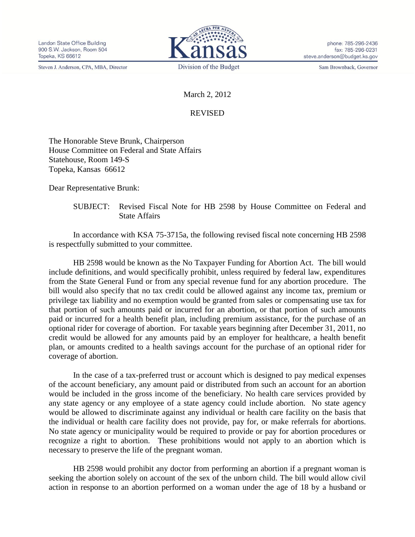Steven J. Anderson, CPA, MBA, Director



phone: 785-296-2436 fax: 785-296-0231 steve.anderson@budget.ks.gov

Sam Brownback, Governor

March 2, 2012

## REVISED

The Honorable Steve Brunk, Chairperson House Committee on Federal and State Affairs Statehouse, Room 149-S Topeka, Kansas 66612

Dear Representative Brunk:

SUBJECT: Revised Fiscal Note for HB 2598 by House Committee on Federal and State Affairs

In accordance with KSA 75-3715a, the following revised fiscal note concerning HB 2598 is respectfully submitted to your committee.

HB 2598 would be known as the No Taxpayer Funding for Abortion Act. The bill would include definitions, and would specifically prohibit, unless required by federal law, expenditures from the State General Fund or from any special revenue fund for any abortion procedure. The bill would also specify that no tax credit could be allowed against any income tax, premium or privilege tax liability and no exemption would be granted from sales or compensating use tax for that portion of such amounts paid or incurred for an abortion, or that portion of such amounts paid or incurred for a health benefit plan, including premium assistance, for the purchase of an optional rider for coverage of abortion. For taxable years beginning after December 31, 2011, no credit would be allowed for any amounts paid by an employer for healthcare, a health benefit plan, or amounts credited to a health savings account for the purchase of an optional rider for coverage of abortion.

In the case of a tax-preferred trust or account which is designed to pay medical expenses of the account beneficiary, any amount paid or distributed from such an account for an abortion would be included in the gross income of the beneficiary. No health care services provided by any state agency or any employee of a state agency could include abortion. No state agency would be allowed to discriminate against any individual or health care facility on the basis that the individual or health care facility does not provide, pay for, or make referrals for abortions. No state agency or municipality would be required to provide or pay for abortion procedures or recognize a right to abortion. These prohibitions would not apply to an abortion which is necessary to preserve the life of the pregnant woman.

HB 2598 would prohibit any doctor from performing an abortion if a pregnant woman is seeking the abortion solely on account of the sex of the unborn child. The bill would allow civil action in response to an abortion performed on a woman under the age of 18 by a husband or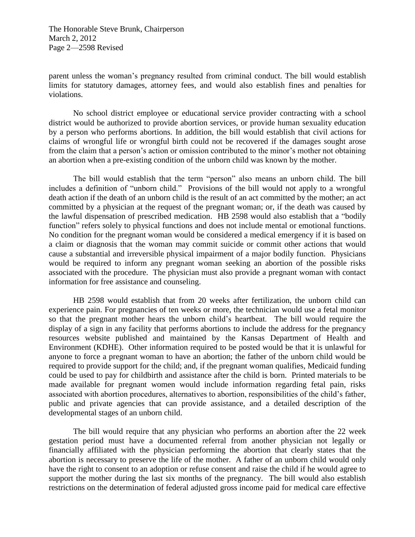The Honorable Steve Brunk, Chairperson March 2, 2012 Page 2—2598 Revised

parent unless the woman's pregnancy resulted from criminal conduct. The bill would establish limits for statutory damages, attorney fees, and would also establish fines and penalties for violations.

No school district employee or educational service provider contracting with a school district would be authorized to provide abortion services, or provide human sexuality education by a person who performs abortions. In addition, the bill would establish that civil actions for claims of wrongful life or wrongful birth could not be recovered if the damages sought arose from the claim that a person's action or omission contributed to the minor's mother not obtaining an abortion when a pre-existing condition of the unborn child was known by the mother.

The bill would establish that the term "person" also means an unborn child. The bill includes a definition of "unborn child." Provisions of the bill would not apply to a wrongful death action if the death of an unborn child is the result of an act committed by the mother; an act committed by a physician at the request of the pregnant woman; or, if the death was caused by the lawful dispensation of prescribed medication. HB 2598 would also establish that a "bodily function" refers solely to physical functions and does not include mental or emotional functions. No condition for the pregnant woman would be considered a medical emergency if it is based on a claim or diagnosis that the woman may commit suicide or commit other actions that would cause a substantial and irreversible physical impairment of a major bodily function. Physicians would be required to inform any pregnant woman seeking an abortion of the possible risks associated with the procedure. The physician must also provide a pregnant woman with contact information for free assistance and counseling.

HB 2598 would establish that from 20 weeks after fertilization, the unborn child can experience pain. For pregnancies of ten weeks or more, the technician would use a fetal monitor so that the pregnant mother hears the unborn child's heartbeat. The bill would require the display of a sign in any facility that performs abortions to include the address for the pregnancy resources website published and maintained by the Kansas Department of Health and Environment (KDHE). Other information required to be posted would be that it is unlawful for anyone to force a pregnant woman to have an abortion; the father of the unborn child would be required to provide support for the child; and, if the pregnant woman qualifies, Medicaid funding could be used to pay for childbirth and assistance after the child is born. Printed materials to be made available for pregnant women would include information regarding fetal pain, risks associated with abortion procedures, alternatives to abortion, responsibilities of the child's father, public and private agencies that can provide assistance, and a detailed description of the developmental stages of an unborn child.

The bill would require that any physician who performs an abortion after the 22 week gestation period must have a documented referral from another physician not legally or financially affiliated with the physician performing the abortion that clearly states that the abortion is necessary to preserve the life of the mother. A father of an unborn child would only have the right to consent to an adoption or refuse consent and raise the child if he would agree to support the mother during the last six months of the pregnancy. The bill would also establish restrictions on the determination of federal adjusted gross income paid for medical care effective